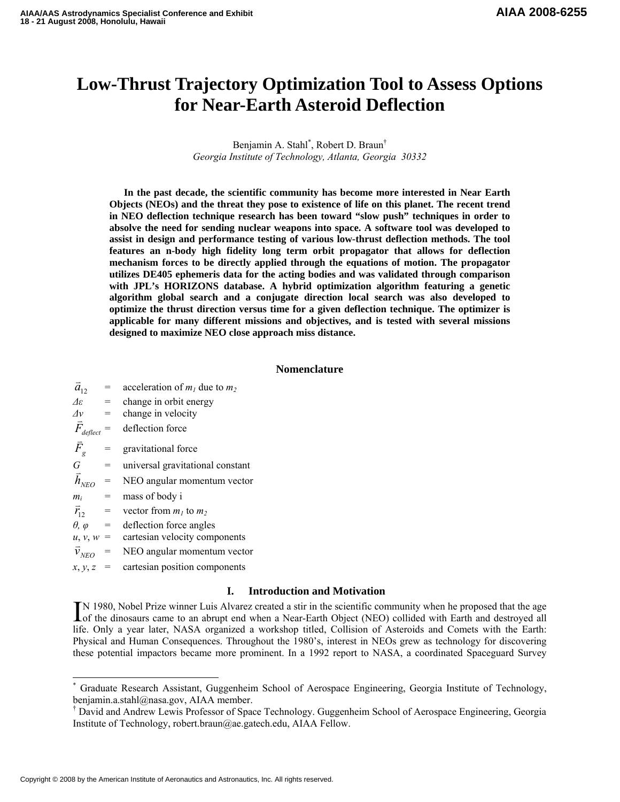# **Low-Thrust Trajectory Optimization Tool to Assess Options for Near-Earth Asteroid Deflection**

Benjamin A. Stah[l\\*](#page-0-0) , Robert D. Braun† *Georgia Institute of Technology, Atlanta, Georgia 30332*

**In the past decade, the scientific community has become more interested in Near Earth Objects (NEOs) and the threat they pose to existence of life on this planet. The recent trend in NEO deflection technique research has been toward "slow push" techniques in order to absolve the need for sending nuclear weapons into space. A software tool was developed to assist in design and performance testing of various low-thrust deflection methods. The tool features an n-body high fidelity long term orbit propagator that allows for deflection mechanism forces to be directly applied through the equations of motion. The propagator utilizes DE405 ephemeris data for the acting bodies and was validated through comparison with JPL's HORIZONS database. A hybrid optimization algorithm featuring a genetic algorithm global search and a conjugate direction local search was also developed to optimize the thrust direction versus time for a given deflection technique. The optimizer is applicable for many different missions and objectives, and is tested with several missions designed to maximize NEO close approach miss distance.** 

#### **Nomenclature**

 $\bar{a}_{12}$ acceleration of  $m_1$  due to  $m_2$ *∆ε* = change in orbit energy *∆v* = change in velocity  $\vec{F}_{\textit{deflect}}$  = deflection force  $\vec{F}_q$  $=$  gravitational force *G* = universal gravitational constant  $\bar{h}_{NEO}$  = NEO angular momentum vector  $m_i$  = mass of body i  $\vec{r}_{12}$  $=$  vector from  $m_1$  to  $m_2$  $\theta$ ,  $\varphi$  = deflection force angles  $u, v, w =$  cartesian velocity components  $\vec{v}_{NFO}$  = NEO angular momentum vector  $x, y, z$  = cartesian position components

# **I. Introduction and Motivation**

N 1980, Nobel Prize winner Luis Alvarez created a stir in the scientific community when he proposed that the age IN 1980, Nobel Prize winner Luis Alvarez created a stir in the scientific community when he proposed that the age<br>of the dinosaurs came to an abrupt end when a Near-Earth Object (NEO) collided with Earth and destroyed all life. Only a year later, NASA organized a workshop titled, Collision of Asteroids and Comets with the Earth: Physical and Human Consequences. Throughout the 1980's, interest in NEOs grew as technology for discovering these potential impactors became more prominent. In a 1992 report to NASA, a coordinated Spaceguard Survey

<span id="page-0-0"></span> <sup>\*</sup> Graduate Research Assistant, Guggenheim School of Aerospace Engineering, Georgia Institute of Technology, benjamin.a.stahl@nasa.gov, AIAA member.

<sup>†</sup> David and Andrew Lewis Professor of Space Technology. Guggenheim School of Aerospace Engineering, Georgia Institute of Technology, robert.braun@ae.gatech.edu, AIAA Fellow.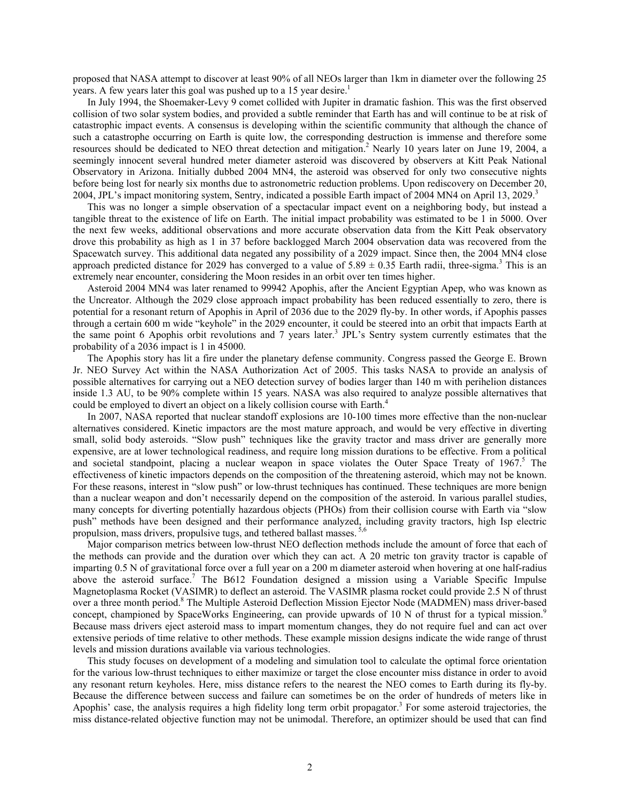proposed that NASA attempt to discover at least 90% of all NEOs larger than 1km in diameter over the following 25 years. A few years later this goal was pushed up to a [1](#page-15-0)5 year desire.<sup>1</sup>

In July 1994, the Shoemaker-Levy 9 comet collided with Jupiter in dramatic fashion. This was the first observed collision of two solar system bodies, and provided a subtle reminder that Earth has and will continue to be at risk of catastrophic impact events. A consensus is developing within the scientific community that although the chance of such a catastrophe occurring on Earth is quite low, the corresponding destruction is immense and therefore some resources should be dedicated to NEO threat detection and mitigation.<sup>[2](#page-15-1)</sup> Nearly 10 years later on June 19, 2004, a seemingly innocent several hundred meter diameter asteroid was discovered by observers at Kitt Peak National Observatory in Arizona. Initially dubbed 2004 MN4, the asteroid was observed for only two consecutive nights before being lost for nearly six months due to astronometric reduction problems. Upon rediscovery on December 20, 2004, JPL's impact monitoring system, Sentry, indicated a possible Earth impact of 2004 MN4 on April 1[3](#page-15-2), 2029.<sup>3</sup>

This was no longer a simple observation of a spectacular impact event on a neighboring body, but instead a tangible threat to the existence of life on Earth. The initial impact probability was estimated to be 1 in 5000. Over the next few weeks, additional observations and more accurate observation data from the Kitt Peak observatory drove this probability as high as 1 in 37 before backlogged March 2004 observation data was recovered from the Spacewatch survey. This additional data negated any possibility of a 2029 impact. Since then, the 2004 MN4 close approach predicted distance for 2029 has converged to a value of  $5.89 \pm 0.35$  $5.89 \pm 0.35$  $5.89 \pm 0.35$  Earth radii, three-sigma.<sup>3</sup> This is an extremely near encounter, considering the Moon resides in an orbit over ten times higher.

Asteroid 2004 MN4 was later renamed to 99942 Apophis, after the Ancient Egyptian Apep, who was known as the Uncreator. Although the 2029 close approach impact probability has been reduced essentially to zero, there is potential for a resonant return of Apophis in April of 2036 due to the 2029 fly-by. In other words, if Apophis passes through a certain 600 m wide "keyhole" in the 2029 encounter, it could be steered into an orbit that impacts Earth at the same point 6 Apophis orbit revolutions and 7 years later.<sup>3</sup> JPL's Sentry system currently estimates that the probability of a 2036 impact is 1 in 45000.

The Apophis story has lit a fire under the planetary defense community. Congress passed the George E. Brown Jr. NEO Survey Act within the NASA Authorization Act of 2005. This tasks NASA to provide an analysis of possible alternatives for carrying out a NEO detection survey of bodies larger than 140 m with perihelion distances inside 1.3 AU, to be 90% complete within 15 years. NASA was also required to analyze possible alternatives that could be employed to divert an object on a likely collision course with Earth. [4](#page-15-3)

In 2007, NASA reported that nuclear standoff explosions are 10-100 times more effective than the non-nuclear alternatives considered. Kinetic impactors are the most mature approach, and would be very effective in diverting small, solid body asteroids. "Slow push" techniques like the gravity tractor and mass driver are generally more expensive, are at lower technological readiness, and require long mission durations to be effective. From a political and societal standpoint, placing a nuclear weapon in space violates the Outer Space Treaty of 1967.<sup>[5](#page-15-4)</sup> The effectiveness of kinetic impactors depends on the composition of the threatening asteroid, which may not be known. For these reasons, interest in "slow push" or low-thrust techniques has continued. These techniques are more benign than a nuclear weapon and don't necessarily depend on the composition of the asteroid. In various parallel studies, many concepts for diverting potentially hazardous objects (PHOs) from their collision course with Earth via "slow push" methods have been designed and their performance analyzed, including gravity tractors, high Isp electric propulsion, mass drivers, propulsive tugs, and tethered ballast masses.<sup>[5,](#page-15-4)6</sup>

Major comparison metrics between low-thrust NEO deflection methods include the amount of force that each of the methods can provide and the duration over which they can act. A 20 metric ton gravity tractor is capable of imparting 0.5 N of gravitational force over a full year on a 200 m diameter asteroid when hovering at one half-radius above the asteroid surface.<sup>[7](#page-15-6)</sup> The B612 Foundation designed a mission using a Variable Specific Impulse Magnetoplasma Rocket (VASIMR) to deflect an asteroid. The VASIMR plasma rocket could provide 2.5 N of thrust overa three month period.<sup>8</sup> The Multiple Asteroid Deflection Mission Ejector Node (MADMEN) mass driver-based concept, championed by SpaceWorks Engineering, can provide upwards of 10 N of thrust for a typical mission.<sup>[9](#page-15-8)</sup> Because mass drivers eject asteroid mass to impart momentum changes, they do not require fuel and can act over extensive periods of time relative to other methods. These example mission designs indicate the wide range of thrust levels and mission durations available via various technologies.

This study focuses on development of a modeling and simulation tool to calculate the optimal force orientation for the various low-thrust techniques to either maximize or target the close encounter miss distance in order to avoid any resonant return keyholes. Here, miss distance refers to the nearest the NEO comes to Earth during its fly-by. Because the difference between success and failure can sometimes be on the order of hundreds of meters like in Apophis' case, the analysis requires a high fidelity long term orbit propagator.<sup>3</sup> For some asteroid trajectories, the miss distance-related objective function may not be unimodal. Therefore, an optimizer should be used that can find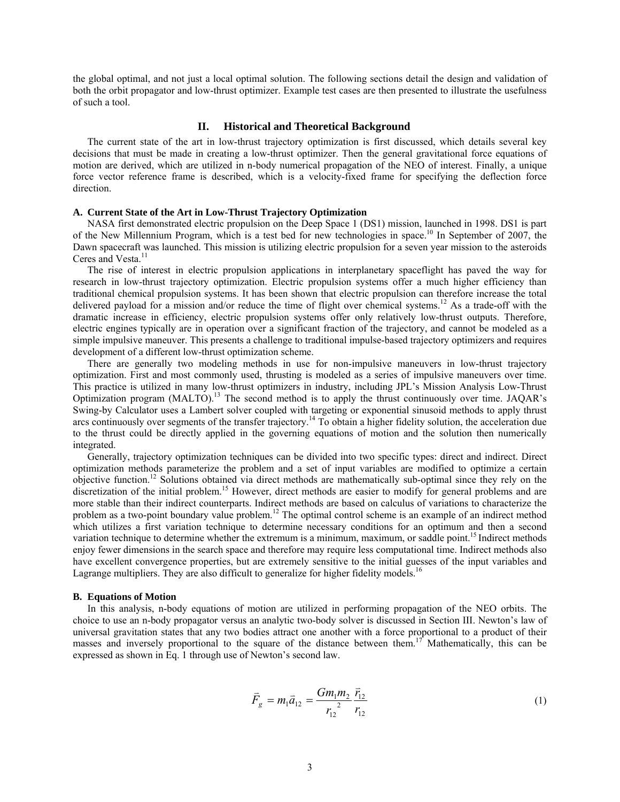<span id="page-2-0"></span>the global optimal, and not just a local optimal solution. The following sections detail the design and validation of both the orbit propagator and low-thrust optimizer. Example test cases are then presented to illustrate the usefulness of such a tool.

# <span id="page-2-1"></span>**II. Historical and Theoretical Background**

The current state of the art in low-thrust trajectory optimization is first discussed, which details several key decisions that must be made in creating a low-thrust optimizer. Then the general gravitational force equations of motion are derived, which are utilized in n-body numerical propagation of the NEO of interest. Finally, a unique force vector reference frame is described, which is a velocity-fixed frame for specifying the deflection force direction.

## **A. Current State of the Art in Low-Thrust Trajectory Optimization**

NASA first demonstrated electric propulsion on the Deep Space 1 (DS1) mission, launched in 1998. DS1 is part of the New Millennium Program, which is a test bed for new technologies in space.[10](#page-15-9) In September of 2007, the Dawn spacecraft was launched. This mission is utilizing electric propulsion for a seven year mission to the asteroids Ceres and Vesta.<sup>11</sup>

The rise of interest in electric propulsion applications in interplanetary spaceflight has paved the way for research in low-thrust trajectory optimization. Electric propulsion systems offer a much higher efficiency than traditional chemical propulsion systems. It has been shown that electric propulsion can therefore increase the total delivered payload for a mission and/or reduce the time of flight over chemical systems.<sup>12</sup> As a trade-off with the dramatic increase in efficiency, electric propulsion systems offer only relatively low-thrust outputs. Therefore, electric engines typically are in operation over a significant fraction of the trajectory, and cannot be modeled as a simple impulsive maneuver. This presents a challenge to traditional impulse-based trajectory optimizers and requires development of a different low-thrust optimization scheme.

There are generally two modeling methods in use for non-impulsive maneuvers in low-thrust trajectory optimization. First and most commonly used, thrusting is modeled as a series of impulsive maneuvers over time. This practice is utilized in many low-thrust optimizers in industry, including JPL's Mission Analysis Low-Thrust Optimization program (MALTO)[.13](#page-15-12) The second method is to apply the thrust continuously over time. JAQAR's Swing-by Calculator uses a Lambert solver coupled with targeting or exponential sinusoid methods to apply thrust arcs continuously over segments of the transfer trajectory.<sup>14</sup> To obtain a higher fidelity solution, the acceleration due to the thrust could be directly applied in the governing equations of motion and the solution then numerically integrated.

Generally, trajectory optimization techniques can be divided into two specific types: direct and indirect. Direct optimization methods parameterize the problem and a set of input variables are modified to optimize a certain objective function[.12](#page-15-11) Solutions obtained via direct methods are mathematically sub-optimal since they rely on the discretization of the initial problem.<sup>15</sup> However, direct methods are easier to modify for general problems and are more stable than their indirect counterparts. Indirect methods are based on calculus of variations to characterize the problem as a two-point boundary value problem.<sup>12</sup> The optimal control scheme is an example of an indirect method which utilizes a first variation technique to determine necessary conditions for an optimum and then a second variation technique to determine whether the extremum is a minimum, maximum, or saddle point.<sup>15</sup> Indirect methods enjoy fewer dimensions in the search space and therefore may require less computational time. Indirect methods also have excellent convergence properties, but are extremely sensitive to the initial guesses of the input variables and Lagrange multipliers. They are also difficult to generalize for higher fidelity models.<sup>16</sup>

#### **B. Equations of Motion**

In this analysis, n-body equations of motion are utilized in performing propagation of the NEO orbits. The choice to use an n-body propagator versus an analytic two-body solver is discussed in Section [III.](#page-4-0) Newton's law of universal gravitation states that any two bodies attract one another with a force proportional to a product of their masses and inversely proportional to the square of the distance between them.<sup>17</sup> Mathematically, this can be expressed as shown in Eq. [1](#page-2-0) through use of Newton's second law.

$$
\vec{F}_g = m_1 \vec{a}_{12} = \frac{Gm_1m_2}{r_{12}^2} \frac{\vec{r}_{12}}{r_{12}}
$$
 (1)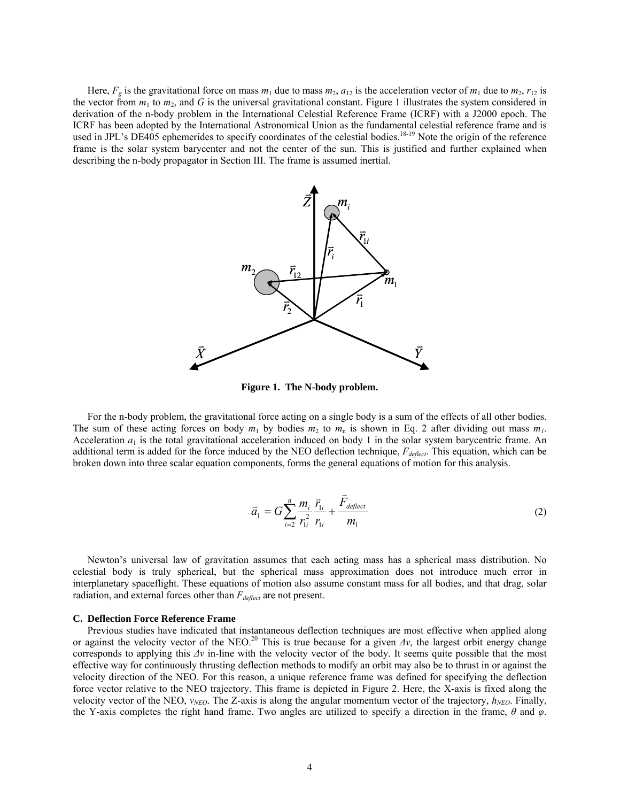<span id="page-3-1"></span>Here,  $F_g$  is the gravitational force on mass  $m_1$  due to mass  $m_2$ ,  $a_{12}$  is the acceleration vector of  $m_1$  due to  $m_2$ ,  $r_{12}$  is the vector from  $m_1$  to  $m_2$ , and G is the universal gravitational constant. [Figure 1](#page-3-0) illustrates the system considered in derivation of the n-body problem in the International Celestial Reference Frame (ICRF) with a J2000 epoch. The ICRF has been adopted by the International Astronomical Union as the fundamental celestial reference frame and is used in JPL's DE405 ephemerides to specify coordinates of the celestial bodies.<sup>18-19</sup> Note the origin of the reference frame is the solar system barycenter and not the center of the sun. This is justified and further explained when describing the n-body propagator in Section [III.](#page-4-0) The frame is assumed inertial.

<span id="page-3-0"></span>

**Figure 1. The N-body problem.** 

For the n-body problem, the gravitational force acting on a single body is a sum of the effects of all other bodies. The sum of these acting forces on body  $m_1$  by bodies  $m_2$  $m_2$  to  $m_n$  is shown in Eq. 2 after dividing out mass  $m_1$ . Acceleration  $a_1$  is the total gravitational acceleration induced on body 1 in the solar system barycentric frame. An additional term is added for the force induced by the NEO deflection technique,  $F_{deflect}$ . This equation, which can be broken down into three scalar equation components, forms the general equations of motion for this analysis.

$$
\vec{a}_1 = G \sum_{i=2}^n \frac{m_i}{r_{1i}^2} \frac{\vec{r}_{1i}}{r_{1i}} + \frac{\vec{F}_{deflect}}{m_1}
$$
 (2)

Newton's universal law of gravitation assumes that each acting mass has a spherical mass distribution. No celestial body is truly spherical, but the spherical mass approximation does not introduce much error in interplanetary spaceflight. These equations of motion also assume constant mass for all bodies, and that drag, solar radiation, and external forces other than  $F_{deflect}$  are not present.

#### **C. Deflection Force Reference Frame**

Previous studies have indicated that instantaneous deflection techniques are most effective when applied along or against the velocity vector of the NEO. [20](#page-15-19) This is true because for a given *∆v*, the largest orbit energy change corresponds to applying this *∆v* in-line with the velocity vector of the body. It seems quite possible that the most effective way for continuously thrusting deflection methods to modify an orbit may also be to thrust in or against the velocity direction of the NEO. For this reason, a unique reference frame was defined for specifying the deflection force vector relative to the NEO trajectory. This frame is depicted in [Figure 2.](#page-4-1) Here, the X-axis is fixed along the velocity vector of the NEO,  $v_{NEO}$ . The Z-axis is along the angular momentum vector of the trajectory,  $h_{NEO}$ . Finally, the Y-axis completes the right hand frame. Two angles are utilized to specify a direction in the frame, *θ* and *φ*.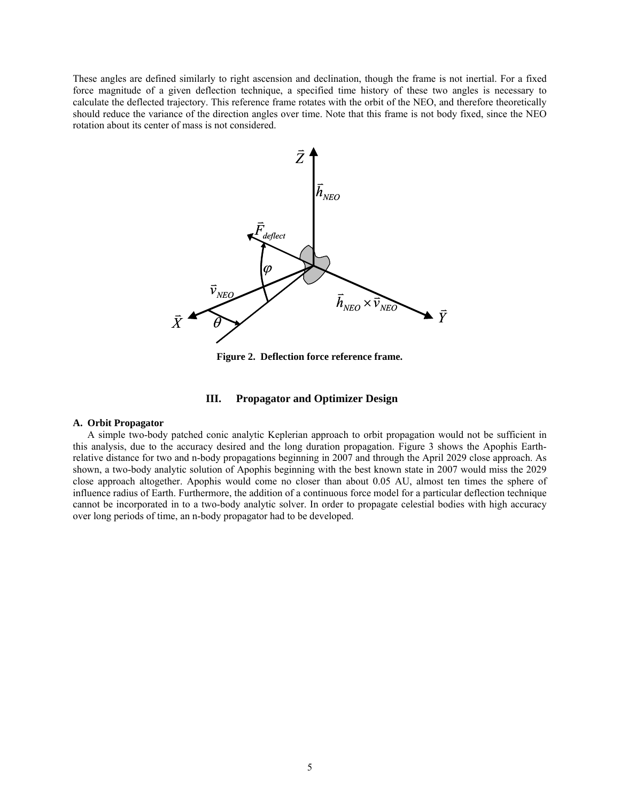These angles are defined similarly to right ascension and declination, though the frame is not inertial. For a fixed force magnitude of a given deflection technique, a specified time history of these two angles is necessary to calculate the deflected trajectory. This reference frame rotates with the orbit of the NEO, and therefore theoretically should reduce the variance of the direction angles over time. Note that this frame is not body fixed, since the NEO rotation about its center of mass is not considered.

<span id="page-4-1"></span>

**Figure 2. Deflection force reference frame.**

## <span id="page-4-0"></span>**III. Propagator and Optimizer Design**

#### **A. Orbit Propagator**

A simple two-body patched conic analytic Keplerian approach to orbit propagation would not be sufficient in this analysis, due to the accuracy desired and the long duration propagation. [Figure 3](#page-5-0) shows the Apophis Earthrelative distance for two and n-body propagations beginning in 2007 and through the April 2029 close approach. As shown, a two-body analytic solution of Apophis beginning with the best known state in 2007 would miss the 2029 close approach altogether. Apophis would come no closer than about 0.05 AU, almost ten times the sphere of influence radius of Earth. Furthermore, the addition of a continuous force model for a particular deflection technique cannot be incorporated in to a two-body analytic solver. In order to propagate celestial bodies with high accuracy over long periods of time, an n-body propagator had to be developed.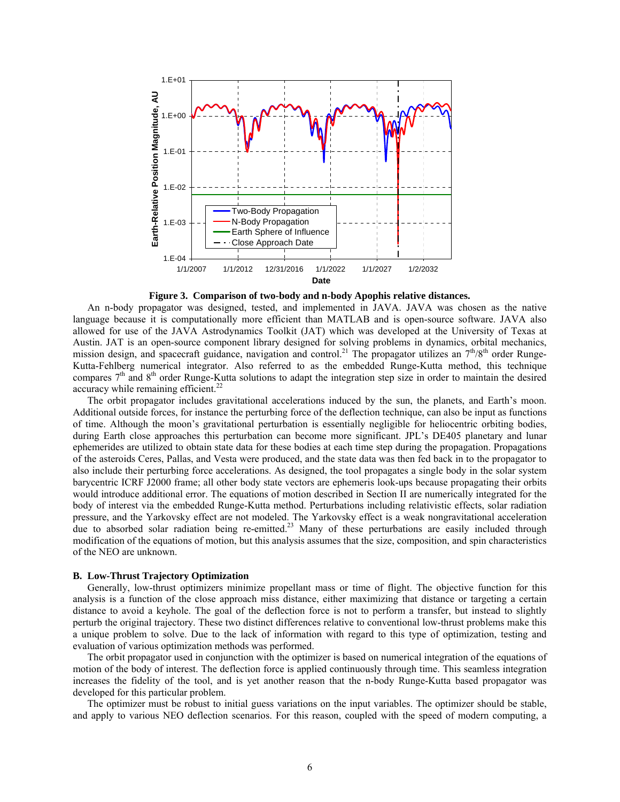<span id="page-5-0"></span>

**Figure 3. Comparison of two-body and n-body Apophis relative distances.** 

An n-body propagator was designed, tested, and implemented in JAVA. JAVA was chosen as the native language because it is computationally more efficient than MATLAB and is open-source software. JAVA also allowed for use of the JAVA Astrodynamics Toolkit (JAT) which was developed at the University of Texas at Austin. JAT is an open-source component library designed for solving problems in dynamics, orbital mechanics, mission design, and spacecraft guidance, navigation and control.<sup>21</sup> The propagator utilizes an 7<sup>th</sup>/8<sup>th</sup> order Runge-Kutta-Fehlberg numerical integrator. Also referred to as the embedded Runge-Kutta method, this technique compares  $7<sup>th</sup>$  and  $8<sup>th</sup>$  order Runge-Kutta solutions to adapt the integration step size in order to maintain the desired accuracy while remaining efficient.<sup>22</sup>

The orbit propagator includes gravitational accelerations induced by the sun, the planets, and Earth's moon. Additional outside forces, for instance the perturbing force of the deflection technique, can also be input as functions of time. Although the moon's gravitational perturbation is essentially negligible for heliocentric orbiting bodies, during Earth close approaches this perturbation can become more significant. JPL's DE405 planetary and lunar ephemerides are utilized to obtain state data for these bodies at each time step during the propagation. Propagations of the asteroids Ceres, Pallas, and Vesta were produced, and the state data was then fed back in to the propagator to also include their perturbing force accelerations. As designed, the tool propagates a single body in the solar system barycentric ICRF J2000 frame; all other body state vectors are ephemeris look-ups because propagating their orbits would introduce additional error. The equations of motion described in Section [II](#page-2-1) are numerically integrated for the body of interest via the embedded Runge-Kutta method. Perturbations including relativistic effects, solar radiation pressure, and the Yarkovsky effect are not modeled. The Yarkovsky effect is a weak nongravitational acceleration due to absorbed solar radiation being re-emitted.<sup>23</sup> Many of these perturbations are easily included through modification of the equations of motion, but this analysis assumes that the size, composition, and spin characteristics of the NEO are unknown.

#### **B. Low-Thrust Trajectory Optimization**

Generally, low-thrust optimizers minimize propellant mass or time of flight. The objective function for this analysis is a function of the close approach miss distance, either maximizing that distance or targeting a certain distance to avoid a keyhole. The goal of the deflection force is not to perform a transfer, but instead to slightly perturb the original trajectory. These two distinct differences relative to conventional low-thrust problems make this a unique problem to solve. Due to the lack of information with regard to this type of optimization, testing and evaluation of various optimization methods was performed.

The orbit propagator used in conjunction with the optimizer is based on numerical integration of the equations of motion of the body of interest. The deflection force is applied continuously through time. This seamless integration increases the fidelity of the tool, and is yet another reason that the n-body Runge-Kutta based propagator was developed for this particular problem.

The optimizer must be robust to initial guess variations on the input variables. The optimizer should be stable, and apply to various NEO deflection scenarios. For this reason, coupled with the speed of modern computing, a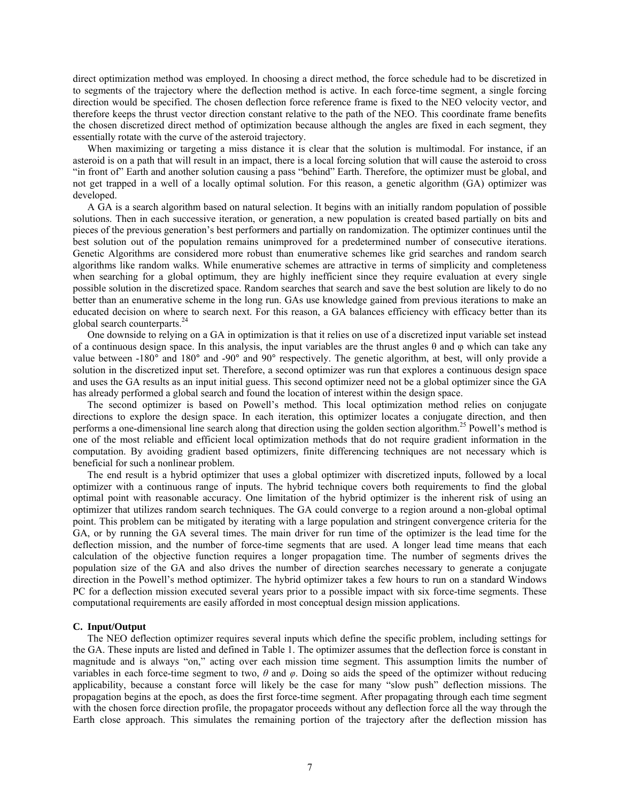direct optimization method was employed. In choosing a direct method, the force schedule had to be discretized in to segments of the trajectory where the deflection method is active. In each force-time segment, a single forcing direction would be specified. The chosen deflection force reference frame is fixed to the NEO velocity vector, and therefore keeps the thrust vector direction constant relative to the path of the NEO. This coordinate frame benefits the chosen discretized direct method of optimization because although the angles are fixed in each segment, they essentially rotate with the curve of the asteroid trajectory.

When maximizing or targeting a miss distance it is clear that the solution is multimodal. For instance, if an asteroid is on a path that will result in an impact, there is a local forcing solution that will cause the asteroid to cross "in front of" Earth and another solution causing a pass "behind" Earth. Therefore, the optimizer must be global, and not get trapped in a well of a locally optimal solution. For this reason, a genetic algorithm (GA) optimizer was developed.

A GA is a search algorithm based on natural selection. It begins with an initially random population of possible solutions. Then in each successive iteration, or generation, a new population is created based partially on bits and pieces of the previous generation's best performers and partially on randomization. The optimizer continues until the best solution out of the population remains unimproved for a predetermined number of consecutive iterations. Genetic Algorithms are considered more robust than enumerative schemes like grid searches and random search algorithms like random walks. While enumerative schemes are attractive in terms of simplicity and completeness when searching for a global optimum, they are highly inefficient since they require evaluation at every single possible solution in the discretized space. Random searches that search and save the best solution are likely to do no better than an enumerative scheme in the long run. GAs use knowledge gained from previous iterations to make an educated decision on where to search next. For this reason, a GA balances efficiency with efficacy better than its global search counterparts. [24](#page-15-23) 

One downside to relying on a GA in optimization is that it relies on use of a discretized input variable set instead of a continuous design space. In this analysis, the input variables are the thrust angles  $\theta$  and  $\phi$  which can take any value between -180<sup>°</sup> and 180<sup>°</sup> and -90<sup>°</sup> and 90<sup>°</sup> respectively. The genetic algorithm, at best, will only provide a solution in the discretized input set. Therefore, a second optimizer was run that explores a continuous design space and uses the GA results as an input initial guess. This second optimizer need not be a global optimizer since the GA has already performed a global search and found the location of interest within the design space.

The second optimizer is based on Powell's method. This local optimization method relies on conjugate directions to explore the design space. In each iteration, this optimizer locates a conjugate direction, and then performs a one-dimensional line search along that direction using the golden section algorithm. [25](#page-15-24) Powell's method is one of the most reliable and efficient local optimization methods that do not require gradient information in the computation. By avoiding gradient based optimizers, finite differencing techniques are not necessary which is beneficial for such a nonlinear problem.

The end result is a hybrid optimizer that uses a global optimizer with discretized inputs, followed by a local optimizer with a continuous range of inputs. The hybrid technique covers both requirements to find the global optimal point with reasonable accuracy. One limitation of the hybrid optimizer is the inherent risk of using an optimizer that utilizes random search techniques. The GA could converge to a region around a non-global optimal point. This problem can be mitigated by iterating with a large population and stringent convergence criteria for the GA, or by running the GA several times. The main driver for run time of the optimizer is the lead time for the deflection mission, and the number of force-time segments that are used. A longer lead time means that each calculation of the objective function requires a longer propagation time. The number of segments drives the population size of the GA and also drives the number of direction searches necessary to generate a conjugate direction in the Powell's method optimizer. The hybrid optimizer takes a few hours to run on a standard Windows PC for a deflection mission executed several years prior to a possible impact with six force-time segments. These computational requirements are easily afforded in most conceptual design mission applications.

# **C. Input/Output**

The NEO deflection optimizer requires several inputs which define the specific problem, including settings for the GA. These inputs are listed and defined in [Table 1.](#page-7-0) The optimizer assumes that the deflection force is constant in magnitude and is always "on," acting over each mission time segment. This assumption limits the number of variables in each force-time segment to two,  $\theta$  and  $\varphi$ . Doing so aids the speed of the optimizer without reducing applicability, because a constant force will likely be the case for many "slow push" deflection missions. The propagation begins at the epoch, as does the first force-time segment. After propagating through each time segment with the chosen force direction profile, the propagator proceeds without any deflection force all the way through the Earth close approach. This simulates the remaining portion of the trajectory after the deflection mission has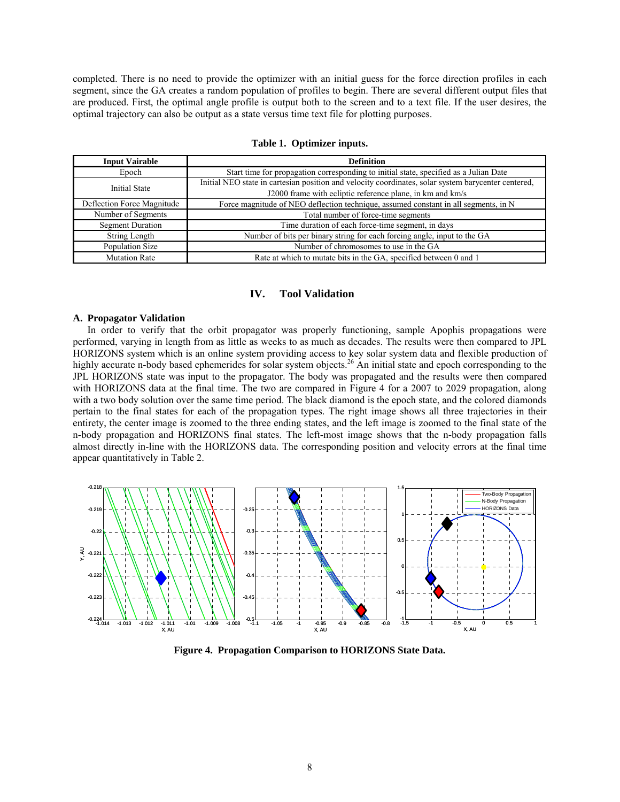completed. There is no need to provide the optimizer with an initial guess for the force direction profiles in each segment, since the GA creates a random population of profiles to begin. There are several different output files that are produced. First, the optimal angle profile is output both to the screen and to a text file. If the user desires, the optimal trajectory can also be output as a state versus time text file for plotting purposes.

| <b>Input Vairable</b>                                                                     | <b>Definition</b>                                                                                   |  |
|-------------------------------------------------------------------------------------------|-----------------------------------------------------------------------------------------------------|--|
| Epoch                                                                                     | Start time for propagation corresponding to initial state, specified as a Julian Date               |  |
| Initial State                                                                             | Initial NEO state in cartesian position and velocity coordinates, solar system barycenter centered, |  |
|                                                                                           | J2000 frame with ecliptic reference plane, in km and km/s                                           |  |
| Deflection Force Magnitude                                                                | Force magnitude of NEO deflection technique, assumed constant in all segments, in N                 |  |
| Number of Segments                                                                        | Total number of force-time segments                                                                 |  |
| <b>Segment Duration</b>                                                                   | Time duration of each force-time segment, in days                                                   |  |
| String Length                                                                             | Number of bits per binary string for each forcing angle, input to the GA                            |  |
| Population Size                                                                           | Number of chromosomes to use in the GA                                                              |  |
| Rate at which to mutate bits in the GA, specified between 0 and 1<br><b>Mutation Rate</b> |                                                                                                     |  |

## <span id="page-7-0"></span>**Table 1. Optimizer inputs.**

#### **IV. Tool Validation**

#### **A. Propagator Validation**

In order to verify that the orbit propagator was properly functioning, sample Apophis propagations were performed, varying in length from as little as weeks to as much as decades. The results were then compared to JPL HORIZONS system which is an online system providing access to key solar system data and flexible production of highly accurate n-body based ephemerides for solar system objects.<sup>26</sup> An initial state and epoch corresponding to the JPL HORIZONS state was input to the propagator. The body was propagated and the results were then compared with HORIZONS data at the final time. The two are compared in [Figure 4](#page-7-1) for a 2007 to 2029 propagation, along with a two body solution over the same time period. The black diamond is the epoch state, and the colored diamonds pertain to the final states for each of the propagation types. The right image shows all three trajectories in their entirety, the center image is zoomed to the three ending states, and the left image is zoomed to the final state of the n-body propagation and HORIZONS final states. The left-most image shows that the n-body propagation falls almost directly in-line with the HORIZONS data. The corresponding position and velocity errors at the final time appear quantitatively in [Table 2.](#page-8-0)

<span id="page-7-1"></span>

**Figure 4. Propagation Comparison to HORIZONS State Data.**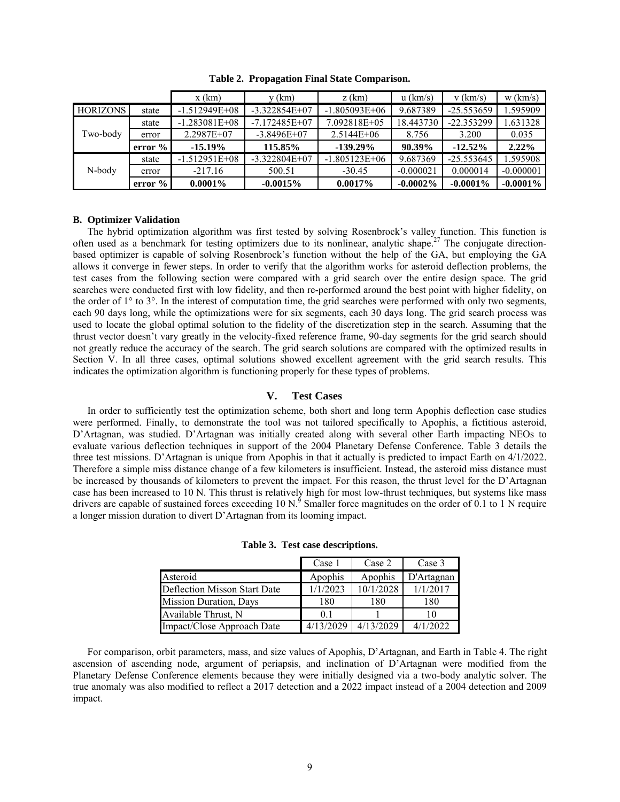|          |            | $x$ (km)        | y (km)          | $z$ (km)        | $u$ (km/s)  | $v$ (km/s)   | w(km/s)     |
|----------|------------|-----------------|-----------------|-----------------|-------------|--------------|-------------|
| HORIZONS | state      | $-1.512949E+08$ | $-3.322854E+07$ | $-1.805093E+06$ | 9.687389    | $-25.553659$ | .595909     |
|          | state      | $-1.283081E+08$ | $-7.172485E+07$ | 7.092818E+05    | 18.443730   | $-22.353299$ | 1.631328    |
| Two-body | error      | $2.2987E+07$    | $-3.8496E+07$   | $2.5144E + 06$  | 8.756       | 3.200        | 0.035       |
|          | error $\%$ | $-15.19%$       | 115.85%         | $-139.29\%$     | 90.39%      | $-12.52%$    | $2.22\%$    |
|          | state      | $-1.512951E+08$ | $-3.322804E+07$ | $-1.805123E+06$ | 9.687369    | $-25.553645$ | .595908     |
| N-body   | error      | $-217.16$       | 500.51          | $-30.45$        | $-0.000021$ | 0.000014     | $-0.000001$ |
|          | error $\%$ | $0.0001\%$      | $-0.0015%$      | $0.0017\%$      | $-0.0002\%$ | $-0.0001\%$  | $-0.0001\%$ |

<span id="page-8-0"></span>**Table 2. Propagation Final State Comparison.** 

## **B. Optimizer Validation**

The hybrid optimization algorithm was first tested by solving Rosenbrock's valley function. This function is often used as a benchmark for testing optimizers due to its nonlinear, analytic shape.<sup>27</sup> The conjugate directionbased optimizer is capable of solving Rosenbrock's function without the help of the GA, but employing the GA allows it converge in fewer steps. In order to verify that the algorithm works for asteroid deflection problems, the test cases from the following section were compared with a grid search over the entire design space. The grid searches were conducted first with low fidelity, and then re-performed around the best point with higher fidelity, on the order of 1° to 3°. In the interest of computation time, the grid searches were performed with only two segments, each 90 days long, while the optimizations were for six segments, each 30 days long. The grid search process was used to locate the global optimal solution to the fidelity of the discretization step in the search. Assuming that the thrust vector doesn't vary greatly in the velocity-fixed reference frame, 90-day segments for the grid search should not greatly reduce the accuracy of the search. The grid search solutions are compared with the optimized results in Section [V.](#page-8-1) In all three cases, optimal solutions showed excellent agreement with the grid search results. This indicates the optimization algorithm is functioning properly for these types of problems.

# <span id="page-8-1"></span>**V. Test Cases**

In order to sufficiently test the optimization scheme, both short and long term Apophis deflection case studies were performed. Finally, to demonstrate the tool was not tailored specifically to Apophis, a fictitious asteroid, D'Artagnan, was studied. D'Artagnan was initially created along with several other Earth impacting NEOs to evaluate various deflection techniques in support of the 2004 Planetary Defense Conference. [Table 3](#page-8-2) details the three test missions. D'Artagnan is unique from Apophis in that it actually is predicted to impact Earth on 4/1/2022. Therefore a simple miss distance change of a few kilometers is insufficient. Instead, the asteroid miss distance must be increased by thousands of kilometers to prevent the impact. For this reason, the thrust level for the D'Artagnan case has been increased to 10 N. This thrust is relatively high for most low-thrust techniques, but systems like mass drivers are capable of sustained forces exceeding 10 N. $<sup>9</sup>$  Smaller force magnitudes on the order of 0.1 to 1 N require</sup> a longer mission duration to divert D'Artagnan from its looming impact.

|                                | Case 1    | Case 2    | Case 3     |
|--------------------------------|-----------|-----------|------------|
| Asteroid                       | Apophis   | Apophis   | D'Artagnan |
| Deflection Misson Start Date   | 1/1/2023  | 10/1/2028 | 1/1/2017   |
| <b>Mission Duration</b> , Days | 180       | 180       | 180        |
| Available Thrust, N            | 0.1       |           |            |
| Impact/Close Approach Date     | 4/13/2029 | 4/13/2029 | 4/1/2022   |

<span id="page-8-2"></span>**Table 3. Test case descriptions.** 

For comparison, orbit parameters, mass, and size values of Apophis, D'Artagnan, and Earth in [Table 4.](#page-9-0) The right ascension of ascending node, argument of periapsis, and inclination of D'Artagnan were modified from the Planetary Defense Conference elements because they were initially designed via a two-body analytic solver. The true anomaly was also modified to reflect a 2017 detection and a 2022 impact instead of a 2004 detection and 2009 impact.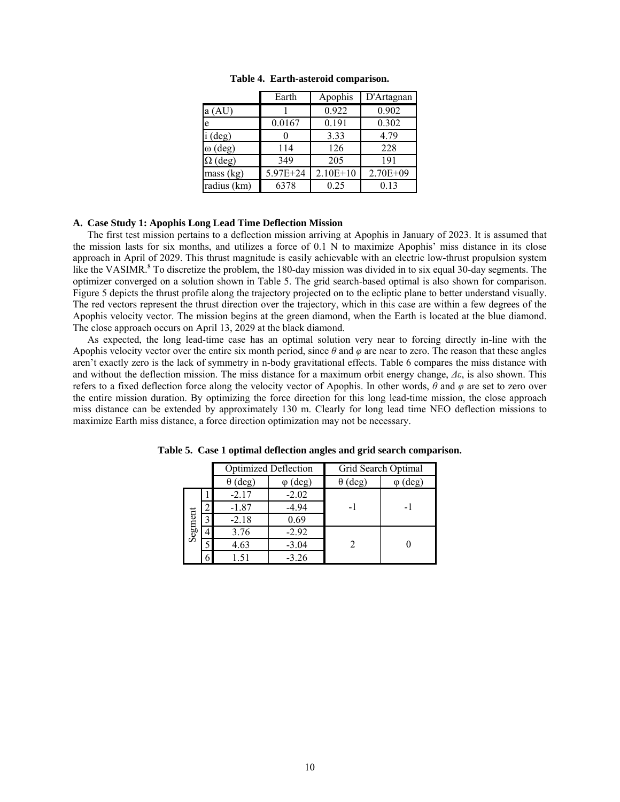|                | Earth    | Apophis    | D'Artagnan |
|----------------|----------|------------|------------|
| a (AU)         |          | 0.922      | 0.902      |
| e              | 0.0167   | 0.191      | 0.302      |
| $(\text{deg})$ |          | 3.33       | 4.79       |
| $\omega$ (deg) | 114      | 126        | 228        |
| $\Omega$ (deg) | 349      | 205        | 191        |
| mass (kg)      | 5.97E+24 | $2.10E+10$ | 2.70E+09   |
| radius (km)    | 6378     | 0.25       | 0.13       |

<span id="page-9-0"></span>**Table 4. Earth-asteroid comparison.**

# **A. Case Study 1: Apophis Long Lead Time Deflection Mission**

The first test mission pertains to a deflection mission arriving at Apophis in January of 2023. It is assumed that the mission lasts for six months, and utilizes a force of 0.1 N to maximize Apophis' miss distance in its close approach in April of 2029. This thrust magnitude is easily achievable with an electric low-thrust propulsion system like the VASIMR.<sup>[8](#page-15-7)</sup> To discretize the problem, the 180-day mission was divided in to six equal 30-day segments. The optimizer converged on a solution shown in [Table 5.](#page-9-1) The grid search-based optimal is also shown for comparison. [Figure 5](#page-10-0) depicts the thrust profile along the trajectory projected on to the ecliptic plane to better understand visually. The red vectors represent the thrust direction over the trajectory, which in this case are within a few degrees of the Apophis velocity vector. The mission begins at the green diamond, when the Earth is located at the blue diamond. The close approach occurs on April 13, 2029 at the black diamond.

As expected, the long lead-time case has an optimal solution very near to forcing directly in-line with the Apophis velocity vector over the entire six month period, since *θ* and *φ* are near to zero. The reason that these angles aren't exactly zero is the lack of symmetry in n-body gravitational effects. [Table 6](#page-10-1) compares the miss distance with and without the deflection mission. The miss distance for a maximum orbit energy change, *∆ε*, is also shown. This refers to a fixed deflection force along the velocity vector of Apophis. In other words, *θ* and *φ* are set to zero over the entire mission duration. By optimizing the force direction for this long lead-time mission, the close approach miss distance can be extended by approximately 130 m. Clearly for long lead time NEO deflection missions to maximize Earth miss distance, a force direction optimization may not be necessary.

|         | <b>Optimized Deflection</b> |                 |                     | Grid Search Optimal |
|---------|-----------------------------|-----------------|---------------------|---------------------|
|         | $\theta$ (deg)              | $\varphi$ (deg) | $(\text{deg})$<br>θ | $(\text{deg})$      |
|         | $-2.17$                     | $-2.02$         |                     |                     |
|         | $-1.87$                     | $-4.94$         |                     |                     |
| Segment | $-2.18$                     | 0.69            |                     |                     |
|         | 3.76                        | $-2.92$         |                     |                     |
|         | 4.63                        | $-3.04$         |                     |                     |
|         | 1.51                        | $-3.26$         |                     |                     |

<span id="page-9-1"></span>**Table 5. Case 1 optimal deflection angles and grid search comparison.**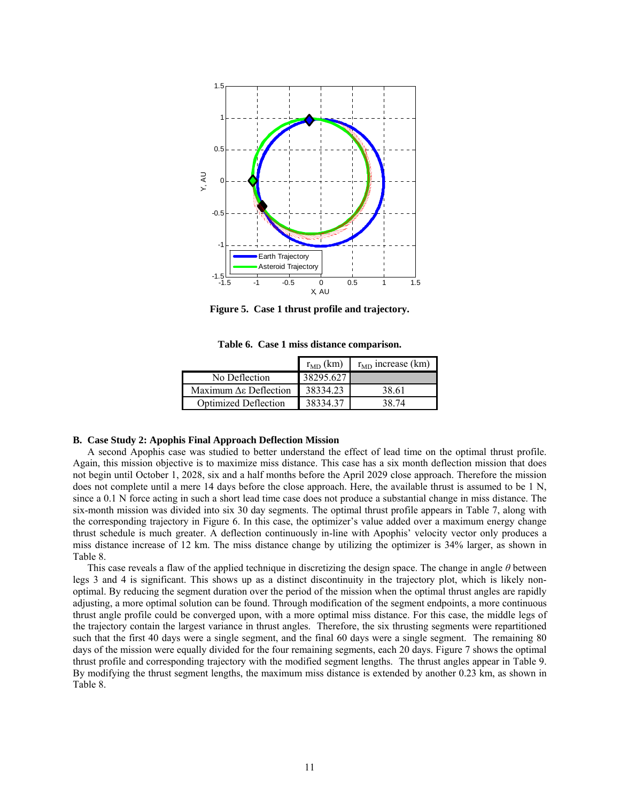<span id="page-10-0"></span>

**Figure 5. Case 1 thrust profile and trajectory.** 

<span id="page-10-1"></span>

|  |  |  |  | Table 6. Case 1 miss distance comparison. |
|--|--|--|--|-------------------------------------------|
|--|--|--|--|-------------------------------------------|

|                                         | $r_{MD}$ (km) | $r_{MD}$ increase (km) |
|-----------------------------------------|---------------|------------------------|
| No Deflection                           | 38295.627     |                        |
| Maximum $\Delta \varepsilon$ Deflection | 38334.23      | 38.61                  |
| <b>Optimized Deflection</b>             | 38334.37      | 38 74                  |

## **B. Case Study 2: Apophis Final Approach Deflection Mission**

A second Apophis case was studied to better understand the effect of lead time on the optimal thrust profile. Again, this mission objective is to maximize miss distance. This case has a six month deflection mission that does not begin until October 1, 2028, six and a half months before the April 2029 close approach. Therefore the mission does not complete until a mere 14 days before the close approach. Here, the available thrust is assumed to be 1 N, since a 0.1 N force acting in such a short lead time case does not produce a substantial change in miss distance. The six-month mission was divided into six 30 day segments. The optimal thrust profile appears in [Table 7,](#page-11-0) along with the corresponding trajectory in [Figure 6.](#page-11-1) In this case, the optimizer's value added over a maximum energy change thrust schedule is much greater. A deflection continuously in-line with Apophis' velocity vector only produces a miss distance increase of 12 km. The miss distance change by utilizing the optimizer is 34% larger, as shown in [Table 8.](#page-11-2)

This case reveals a flaw of the applied technique in discretizing the design space. The change in angle *θ* between legs 3 and 4 is significant. This shows up as a distinct discontinuity in the trajectory plot, which is likely nonoptimal. By reducing the segment duration over the period of the mission when the optimal thrust angles are rapidly adjusting, a more optimal solution can be found. Through modification of the segment endpoints, a more continuous thrust angle profile could be converged upon, with a more optimal miss distance. For this case, the middle legs of the trajectory contain the largest variance in thrust angles. Therefore, the six thrusting segments were repartitioned such that the first 40 days were a single segment, and the final 60 days were a single segment. The remaining 80 days of the mission were equally divided for the four remaining segments, each 20 days. [Figure 7](#page-12-0) shows the optimal thrust profile and corresponding trajectory with the modified segment lengths. The thrust angles appear in [Table 9.](#page-11-3) By modifying the thrust segment lengths, the maximum miss distance is extended by another 0.23 km, as shown in [Table 8.](#page-11-2)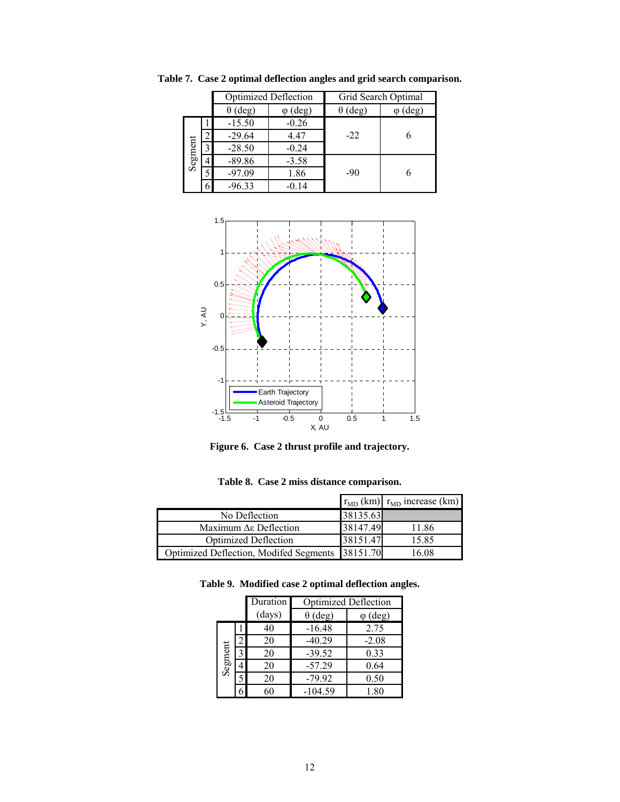|         | <b>Optimized Deflection</b> |                 |                | Grid Search Optimal |
|---------|-----------------------------|-----------------|----------------|---------------------|
|         | $\theta$ (deg)              | $\varphi$ (deg) | $\theta$ (deg) | $(\text{deg})$      |
|         | $-15.50$                    | $-0.26$         |                |                     |
|         | $-29.64$                    | 4.47            | $-22$          |                     |
|         | $-28.50$                    | $-0.24$         |                |                     |
| Segment | $-89.86$                    | $-3.58$         |                |                     |
|         | $-97.09$                    | 1.86            | $-90$          | 6                   |
|         | $-96.33$                    | $-0.14$         |                |                     |

<span id="page-11-0"></span>**Table 7. Case 2 optimal deflection angles and grid search comparison.**

<span id="page-11-1"></span>

**Figure 6. Case 2 thrust profile and trajectory.** 

|                                                 |          | $r_{MD}$ (km) $r_{MD}$ increase (km) |
|-------------------------------------------------|----------|--------------------------------------|
| No Deflection                                   | 38135.63 |                                      |
| Maximum $\Delta \varepsilon$ Deflection         | 38147.49 | 11.86                                |
| <b>Optimized Deflection</b>                     | 38151.47 | 15.85                                |
| Optimized Deflection, Modifed Segments 38151.70 |          | 16.08                                |

<span id="page-11-2"></span>**Table 8. Case 2 miss distance comparison.** 

<span id="page-11-3"></span>**Table 9. Modified case 2 optimal deflection angles.** 

| Duration |  |    | <b>Optimized</b> Deflection |                |  |
|----------|--|----|-----------------------------|----------------|--|
| (days)   |  |    | $\theta$ (deg)              | $(\text{deg})$ |  |
|          |  | 40 | $-16.48$                    | 2.75           |  |
|          |  | 20 | $-40.29$                    | $-2.08$        |  |
|          |  | 20 | $-39.52$                    | 0.33           |  |
| Segment  |  | 20 | $-57.29$                    | 0.64           |  |
|          |  | 20 | $-79.92$                    | 0.50           |  |
|          |  | 60 | $-104.59$                   | 1.80           |  |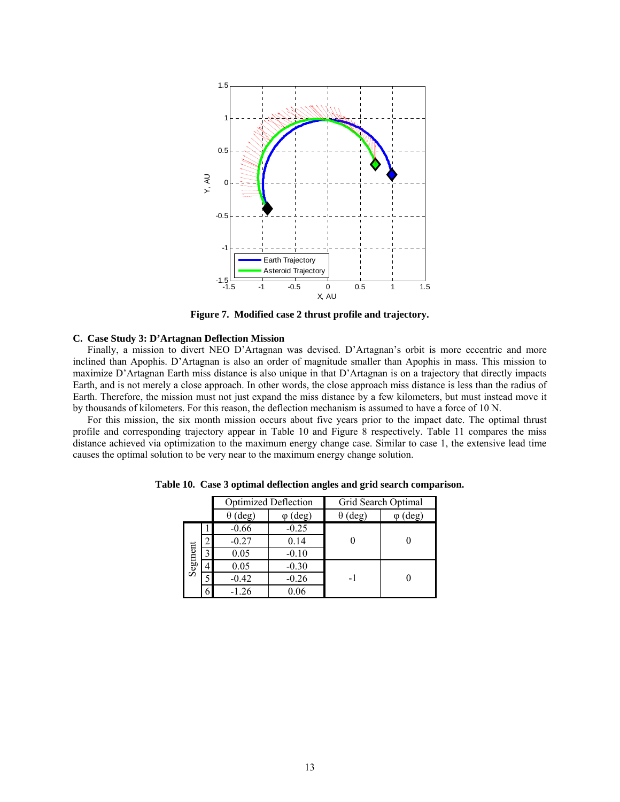<span id="page-12-0"></span>

**Figure 7. Modified case 2 thrust profile and trajectory.**

## **C. Case Study 3: D'Artagnan Deflection Mission**

Finally, a mission to divert NEO D'Artagnan was devised. D'Artagnan's orbit is more eccentric and more inclined than Apophis. D'Artagnan is also an order of magnitude smaller than Apophis in mass. This mission to maximize D'Artagnan Earth miss distance is also unique in that D'Artagnan is on a trajectory that directly impacts Earth, and is not merely a close approach. In other words, the close approach miss distance is less than the radius of Earth. Therefore, the mission must not just expand the miss distance by a few kilometers, but must instead move it by thousands of kilometers. For this reason, the deflection mechanism is assumed to have a force of 10 N.

For this mission, the six month mission occurs about five years prior to the impact date. The optimal thrust profile and corresponding trajectory appear in [Table 10](#page-12-1) and [Figure 8](#page-13-0) respectively. [Table 11](#page-13-1) compares the miss distance achieved via optimization to the maximum energy change case. Similar to case 1, the extensive lead time causes the optimal solution to be very near to the maximum energy change solution.

|      | <b>Optimized Deflection</b> |                 |                | Grid Search Optimal |
|------|-----------------------------|-----------------|----------------|---------------------|
|      | $\theta$ (deg)              | $\varphi$ (deg) | $\theta$ (deg) | $(\text{deg})$      |
|      | $-0.66$                     | $-0.25$         |                |                     |
|      | $-0.27$                     | 0.14            |                |                     |
|      | 0.05                        | $-0.10$         |                |                     |
| Segr | 0.05                        | $-0.30$         |                |                     |
|      | $-0.42$                     | $-0.26$         | - 1            |                     |
|      | $-1.26$                     | 0.06            |                |                     |

<span id="page-12-1"></span>**Table 10. Case 3 optimal deflection angles and grid search comparison.**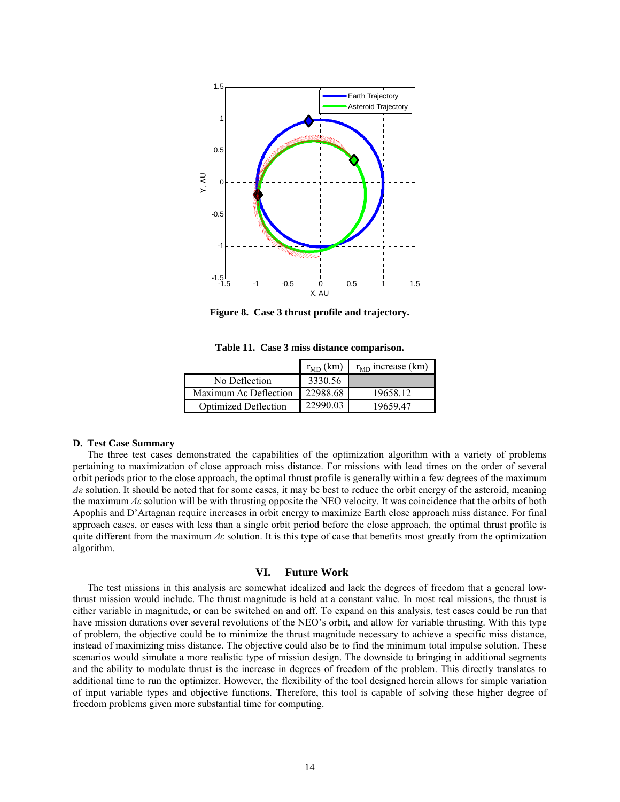<span id="page-13-0"></span>

**Figure 8. Case 3 thrust profile and trajectory.** 

|                                         | $r_{MD}$ (km) | $r_{MD}$ increase (km) |
|-----------------------------------------|---------------|------------------------|
| No Deflection                           | 3330.56       |                        |
| Maximum $\Delta \varepsilon$ Deflection | 22988.68      | 19658.12               |
| <b>Optimized Deflection</b>             | 22990.03      | 1965947                |

<span id="page-13-1"></span>**Table 11. Case 3 miss distance comparison.** 

#### **D. Test Case Summary**

The three test cases demonstrated the capabilities of the optimization algorithm with a variety of problems pertaining to maximization of close approach miss distance. For missions with lead times on the order of several orbit periods prior to the close approach, the optimal thrust profile is generally within a few degrees of the maximum *∆ε* solution. It should be noted that for some cases, it may be best to reduce the orbit energy of the asteroid, meaning the maximum *∆ε* solution will be with thrusting opposite the NEO velocity. It was coincidence that the orbits of both Apophis and D'Artagnan require increases in orbit energy to maximize Earth close approach miss distance. For final approach cases, or cases with less than a single orbit period before the close approach, the optimal thrust profile is quite different from the maximum *∆ε* solution. It is this type of case that benefits most greatly from the optimization algorithm.

#### **VI. Future Work**

The test missions in this analysis are somewhat idealized and lack the degrees of freedom that a general lowthrust mission would include. The thrust magnitude is held at a constant value. In most real missions, the thrust is either variable in magnitude, or can be switched on and off. To expand on this analysis, test cases could be run that have mission durations over several revolutions of the NEO's orbit, and allow for variable thrusting. With this type of problem, the objective could be to minimize the thrust magnitude necessary to achieve a specific miss distance, instead of maximizing miss distance. The objective could also be to find the minimum total impulse solution. These scenarios would simulate a more realistic type of mission design. The downside to bringing in additional segments and the ability to modulate thrust is the increase in degrees of freedom of the problem. This directly translates to additional time to run the optimizer. However, the flexibility of the tool designed herein allows for simple variation of input variable types and objective functions. Therefore, this tool is capable of solving these higher degree of freedom problems given more substantial time for computing.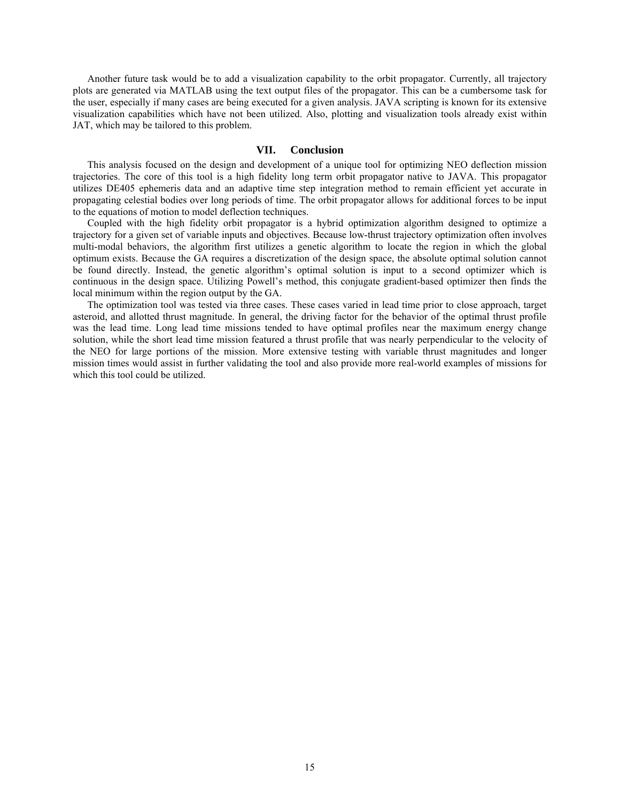Another future task would be to add a visualization capability to the orbit propagator. Currently, all trajectory plots are generated via MATLAB using the text output files of the propagator. This can be a cumbersome task for the user, especially if many cases are being executed for a given analysis. JAVA scripting is known for its extensive visualization capabilities which have not been utilized. Also, plotting and visualization tools already exist within JAT, which may be tailored to this problem.

# **VII. Conclusion**

This analysis focused on the design and development of a unique tool for optimizing NEO deflection mission trajectories. The core of this tool is a high fidelity long term orbit propagator native to JAVA. This propagator utilizes DE405 ephemeris data and an adaptive time step integration method to remain efficient yet accurate in propagating celestial bodies over long periods of time. The orbit propagator allows for additional forces to be input to the equations of motion to model deflection techniques.

Coupled with the high fidelity orbit propagator is a hybrid optimization algorithm designed to optimize a trajectory for a given set of variable inputs and objectives. Because low-thrust trajectory optimization often involves multi-modal behaviors, the algorithm first utilizes a genetic algorithm to locate the region in which the global optimum exists. Because the GA requires a discretization of the design space, the absolute optimal solution cannot be found directly. Instead, the genetic algorithm's optimal solution is input to a second optimizer which is continuous in the design space. Utilizing Powell's method, this conjugate gradient-based optimizer then finds the local minimum within the region output by the GA.

The optimization tool was tested via three cases. These cases varied in lead time prior to close approach, target asteroid, and allotted thrust magnitude. In general, the driving factor for the behavior of the optimal thrust profile was the lead time. Long lead time missions tended to have optimal profiles near the maximum energy change solution, while the short lead time mission featured a thrust profile that was nearly perpendicular to the velocity of the NEO for large portions of the mission. More extensive testing with variable thrust magnitudes and longer mission times would assist in further validating the tool and also provide more real-world examples of missions for which this tool could be utilized.